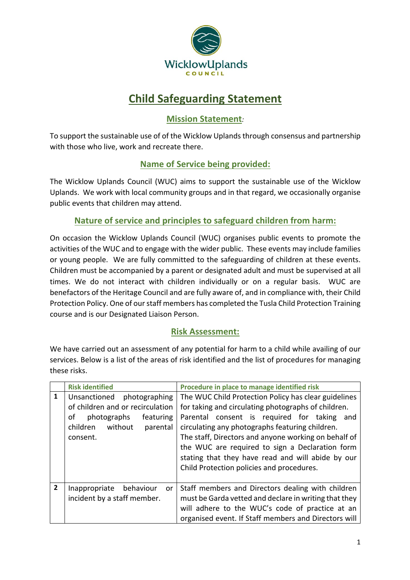

# **Child Safeguarding Statement**

# **Mission Statement***:*

To support the sustainable use of of the Wicklow Uplands through consensus and partnership with those who live, work and recreate there.

# **Name of Service being provided:**

The Wicklow Uplands Council (WUC) aims to support the sustainable use of the Wicklow Uplands. We work with local community groups and in that regard, we occasionally organise public events that children may attend.

### **Nature of service and principles to safeguard children from harm:**

On occasion the Wicklow Uplands Council (WUC) organises public events to promote the activities of the WUC and to engage with the wider public. These events may include families or young people. We are fully committed to the safeguarding of children at these events. Children must be accompanied by a parent or designated adult and must be supervised at all times. We do not interact with children individually or on a regular basis. WUC are benefactors of the Heritage Council and are fully aware of, and in compliance with, their Child Protection Policy. One of our staff members has completed the Tusla Child Protection Training course and is our Designated Liaison Person.

#### **Risk Assessment:**

We have carried out an assessment of any potential for harm to a child while availing of our services. Below is a list of the areas of risk identified and the list of procedures for managing these risks.

|                | <b>Risk identified</b>                                                                                                                             | Procedure in place to manage identified risk                                                                                                                                                                                                                                                                                                                                                                                  |
|----------------|----------------------------------------------------------------------------------------------------------------------------------------------------|-------------------------------------------------------------------------------------------------------------------------------------------------------------------------------------------------------------------------------------------------------------------------------------------------------------------------------------------------------------------------------------------------------------------------------|
| $\mathbf{1}$   | Unsanctioned<br>photographing<br>of children and or recirculation<br>photographs<br>featuring<br>οf<br>without<br>children<br>parental<br>consent. | The WUC Child Protection Policy has clear guidelines<br>for taking and circulating photographs of children.<br>Parental consent is required for taking<br>and<br>circulating any photographs featuring children.<br>The staff, Directors and anyone working on behalf of<br>the WUC are required to sign a Declaration form<br>stating that they have read and will abide by our<br>Child Protection policies and procedures. |
| $\overline{2}$ | Inappropriate<br>behaviour<br><b>or</b><br>incident by a staff member.                                                                             | Staff members and Directors dealing with children<br>must be Garda vetted and declare in writing that they<br>will adhere to the WUC's code of practice at an<br>organised event. If Staff members and Directors will                                                                                                                                                                                                         |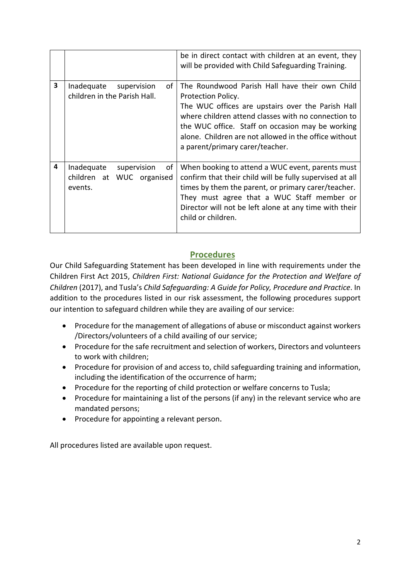|   |                                                                         | be in direct contact with children at an event, they<br>will be provided with Child Safeguarding Training.                                                                                                                                                                                                                       |
|---|-------------------------------------------------------------------------|----------------------------------------------------------------------------------------------------------------------------------------------------------------------------------------------------------------------------------------------------------------------------------------------------------------------------------|
| 3 | οf<br>Inadequate<br>supervision<br>children in the Parish Hall.         | The Roundwood Parish Hall have their own Child<br>Protection Policy.<br>The WUC offices are upstairs over the Parish Hall<br>where children attend classes with no connection to<br>the WUC office. Staff on occasion may be working<br>alone. Children are not allowed in the office without<br>a parent/primary carer/teacher. |
| 4 | of<br>Inadequate<br>supervision<br>children at WUC organised<br>events. | When booking to attend a WUC event, parents must<br>confirm that their child will be fully supervised at all<br>times by them the parent, or primary carer/teacher.<br>They must agree that a WUC Staff member or<br>Director will not be left alone at any time with their<br>child or children.                                |

### **Procedures**

Our Child Safeguarding Statement has been developed in line with requirements under the Children First Act 2015, *Children First: National Guidance for the Protection and Welfare of Children* (2017), and Tusla's *Child Safeguarding: A Guide for Policy, Procedure and Practice*. In addition to the procedures listed in our risk assessment, the following procedures support our intention to safeguard children while they are availing of our service:

- Procedure for the management of allegations of abuse or misconduct against workers /Directors/volunteers of a child availing of our service;
- Procedure for the safe recruitment and selection of workers, Directors and volunteers to work with children;
- Procedure for provision of and access to, child safeguarding training and information, including the identification of the occurrence of harm;
- Procedure for the reporting of child protection or welfare concerns to Tusla;
- Procedure for maintaining a list of the persons (if any) in the relevant service who are mandated persons;
- Procedure for appointing a relevant person.

All procedures listed are available upon request.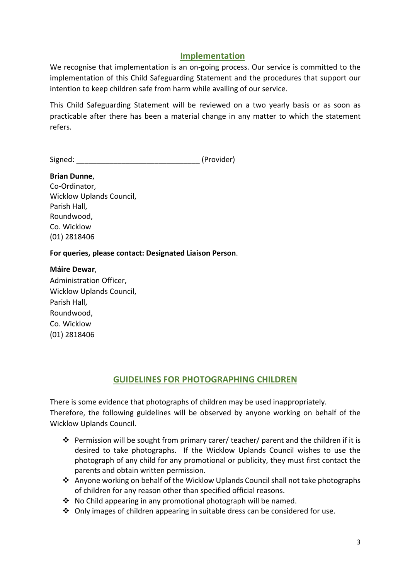#### **Implementation**

We recognise that implementation is an on-going process. Our service is committed to the implementation of this Child Safeguarding Statement and the procedures that support our intention to keep children safe from harm while availing of our service.

This Child Safeguarding Statement will be reviewed on a two yearly basis or as soon as practicable after there has been a material change in any matter to which the statement refers.

Signed: [Provider]

**Brian Dunne**, Co-Ordinator, Wicklow Uplands Council, Parish Hall, Roundwood, Co. Wicklow (01) 2818406

**For queries, please contact: Designated Liaison Person**.

**Máire Dewar**, Administration Officer, Wicklow Uplands Council, Parish Hall, Roundwood, Co. Wicklow (01) 2818406

#### **GUIDELINES FOR PHOTOGRAPHING CHILDREN**

There is some evidence that photographs of children may be used inappropriately. Therefore, the following guidelines will be observed by anyone working on behalf of the Wicklow Uplands Council.

- v Permission will be sought from primary carer/ teacher/ parent and the children if it is desired to take photographs. If the Wicklow Uplands Council wishes to use the photograph of any child for any promotional or publicity, they must first contact the parents and obtain written permission.
- Anyone working on behalf of the Wicklow Uplands Council shall not take photographs of children for any reason other than specified official reasons.
- $\cdot$  No Child appearing in any promotional photograph will be named.
- $\cdot$  Only images of children appearing in suitable dress can be considered for use.